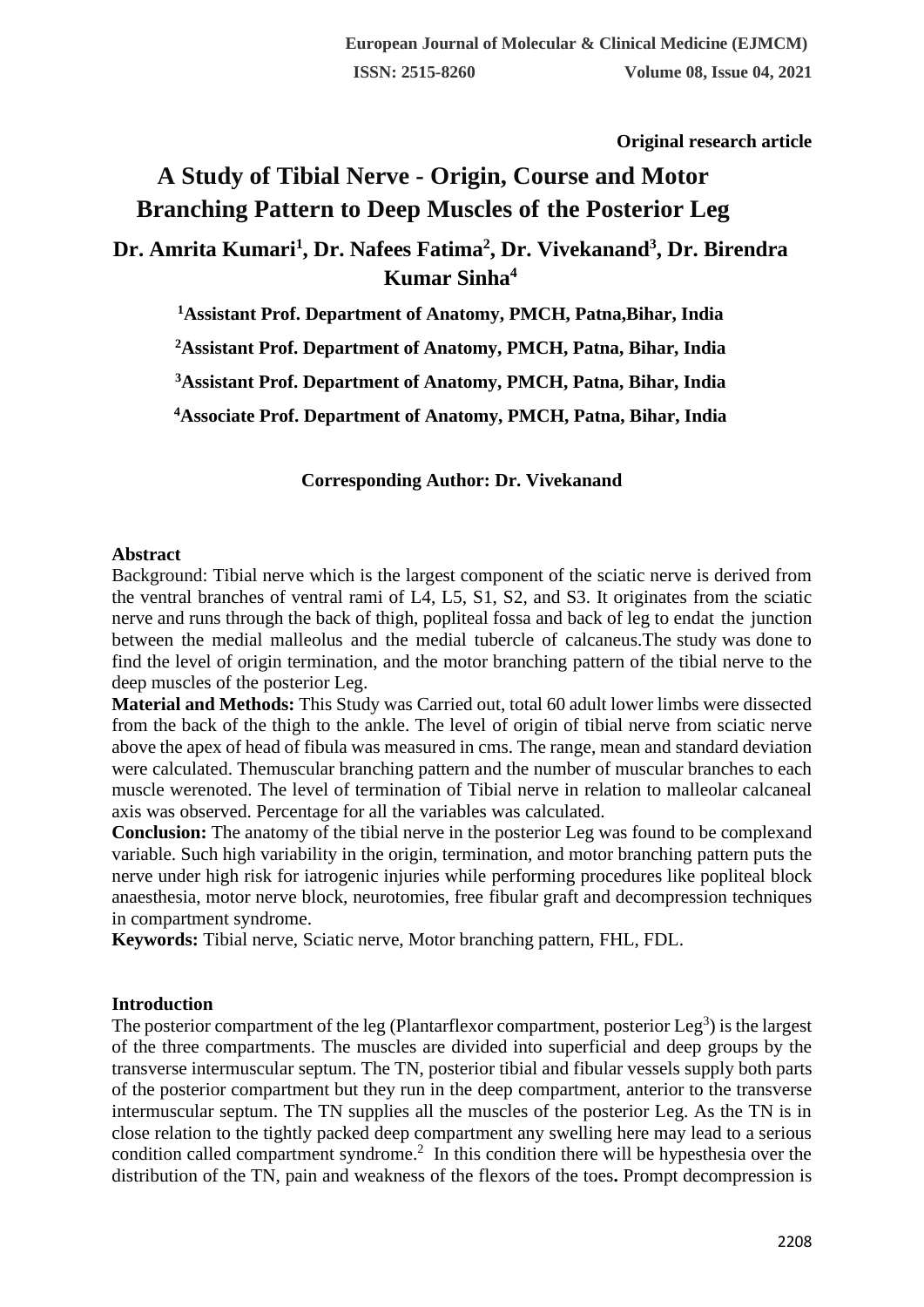**Original research article** 

# **A Study of Tibial Nerve - Origin, Course and Motor Branching Pattern to Deep Muscles of the Posterior Leg Dr. Amrita Kumari<sup>1</sup> , Dr. Nafees Fatima<sup>2</sup> , Dr. Vivekanand<sup>3</sup> , Dr. Birendra Kumar Sinha<sup>4</sup>**

**<sup>1</sup>Assistant Prof. Department of Anatomy, PMCH, Patna,Bihar, India**

**<sup>2</sup>Assistant Prof. Department of Anatomy, PMCH, Patna, Bihar, India**

**<sup>3</sup>Assistant Prof. Department of Anatomy, PMCH, Patna, Bihar, India**

**<sup>4</sup>Associate Prof. Department of Anatomy, PMCH, Patna, Bihar, India**

**Corresponding Author: Dr. Vivekanand**

## **Abstract**

Background: Tibial nerve which is the largest component of the sciatic nerve is derived from the ventral branches of ventral rami of L4, L5, S1, S2, and S3. It originates from the sciatic nerve and runs through the back of thigh, popliteal fossa and back of leg to endat the junction between the medial malleolus and the medial tubercle of calcaneus.The study was done to find the level of origin termination, and the motor branching pattern of the tibial nerve to the deep muscles of the posterior Leg.

**Material and Methods:** This Study was Carried out, total 60 adult lower limbs were dissected from the back of the thigh to the ankle. The level of origin of tibial nerve from sciatic nerve above the apex of head of fibula was measured in cms. The range, mean and standard deviation were calculated. Themuscular branching pattern and the number of muscular branches to each muscle werenoted. The level of termination of Tibial nerve in relation to malleolar calcaneal axis was observed. Percentage for all the variables was calculated.

**Conclusion:** The anatomy of the tibial nerve in the posterior Leg was found to be complexand variable. Such high variability in the origin, termination, and motor branching pattern puts the nerve under high risk for iatrogenic injuries while performing procedures like popliteal block anaesthesia, motor nerve block, neurotomies, free fibular graft and decompression techniques in compartment syndrome.

**Keywords:** Tibial nerve, Sciatic nerve, Motor branching pattern, FHL, FDL.

# **Introduction**

The posterior compartment of the leg (Plantarflexor compartment, posterior  $Leg^3$ ) is the largest of the three compartments. The muscles are divided into superficial and deep groups by the transverse intermuscular septum. The TN, posterior tibial and fibular vessels supply both parts of the posterior compartment but they run in the deep compartment, anterior to the transverse intermuscular septum. The TN supplies all the muscles of the posterior Leg. As the TN is in close relation to the tightly packed deep compartment any swelling here may lead to a serious condition called compartment syndrome.<sup>2</sup> In this condition there will be hypesthesia over the distribution of the TN, pain and weakness of the flexors of the toes**.** Prompt decompression is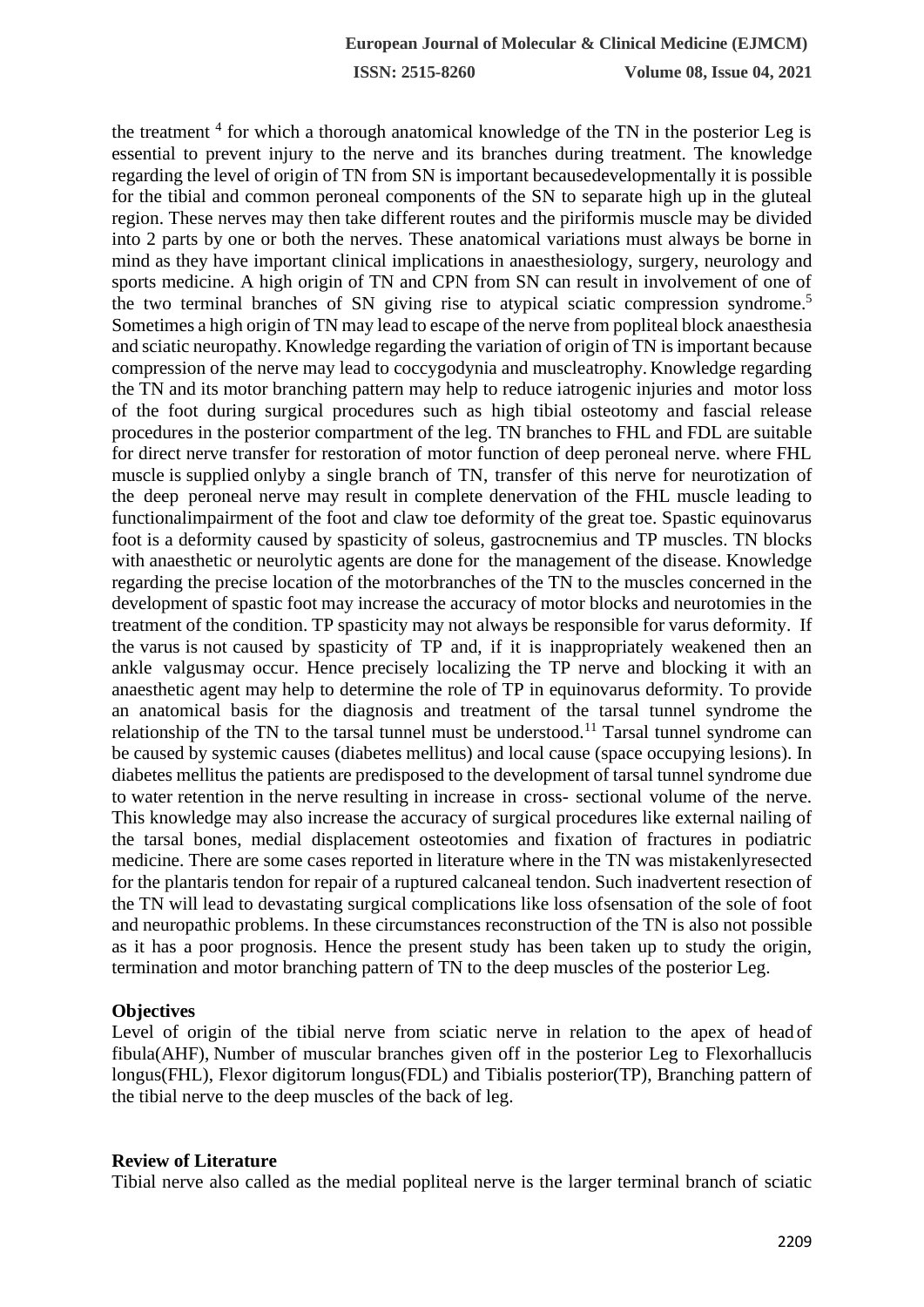the treatment <sup>4</sup> for which a thorough anatomical knowledge of the TN in the posterior Leg is essential to prevent injury to the nerve and its branches during treatment. The knowledge regarding the level of origin of TN from SN is important becausedevelopmentally it is possible for the tibial and common peroneal components of the SN to separate high up in the gluteal region. These nerves may then take different routes and the piriformis muscle may be divided into 2 parts by one or both the nerves. These anatomical variations must always be borne in mind as they have important clinical implications in anaesthesiology, surgery, neurology and sports medicine. A high origin of TN and CPN from SN can result in involvement of one of the two terminal branches of SN giving rise to atypical sciatic compression syndrome.<sup>5</sup> Sometimes a high origin of TN may lead to escape of the nerve from popliteal block anaesthesia and sciatic neuropathy. Knowledge regarding the variation of origin of TN isimportant because compression of the nerve may lead to coccygodynia and muscleatrophy. Knowledge regarding the TN and its motor branching pattern may help to reduce iatrogenic injuries and motor loss of the foot during surgical procedures such as high tibial osteotomy and fascial release procedures in the posterior compartment of the leg. TN branches to FHL and FDL are suitable for direct nerve transfer for restoration of motor function of deep peroneal nerve. where FHL muscle is supplied onlyby a single branch of TN, transfer of this nerve for neurotization of the deep peroneal nerve may result in complete denervation of the FHL muscle leading to functionalimpairment of the foot and claw toe deformity of the great toe. Spastic equinovarus foot is a deformity caused by spasticity of soleus, gastrocnemius and TP muscles. TN blocks with anaesthetic or neurolytic agents are done for the management of the disease. Knowledge regarding the precise location of the motorbranches of the TN to the muscles concerned in the development of spastic foot may increase the accuracy of motor blocks and neurotomies in the treatment of the condition. TP spasticity may not always be responsible for varus deformity. If the varus is not caused by spasticity of TP and, if it is inappropriately weakened then an ankle valgusmay occur. Hence precisely localizing the TP nerve and blocking it with an anaesthetic agent may help to determine the role of TP in equinovarus deformity. To provide an anatomical basis for the diagnosis and treatment of the tarsal tunnel syndrome the relationship of the TN to the tarsal tunnel must be understood.<sup>11</sup> Tarsal tunnel syndrome can be caused by systemic causes (diabetes mellitus) and local cause (space occupying lesions). In diabetes mellitus the patients are predisposed to the development of tarsal tunnel syndrome due to water retention in the nerve resulting in increase in cross- sectional volume of the nerve. This knowledge may also increase the accuracy of surgical procedures like external nailing of the tarsal bones, medial displacement osteotomies and fixation of fractures in podiatric medicine. There are some cases reported in literature where in the TN was mistakenlyresected for the plantaris tendon for repair of a ruptured calcaneal tendon. Such inadvertent resection of the TN will lead to devastating surgical complications like loss ofsensation of the sole of foot and neuropathic problems. In these circumstances reconstruction of the TN is also not possible as it has a poor prognosis. Hence the present study has been taken up to study the origin, termination and motor branching pattern of TN to the deep muscles of the posterior Leg.

## **Objectives**

Level of origin of the tibial nerve from sciatic nerve in relation to the apex of head of fibula(AHF), Number of muscular branches given off in the posterior Leg to Flexorhallucis longus(FHL), Flexor digitorum longus(FDL) and Tibialis posterior(TP), Branching pattern of the tibial nerve to the deep muscles of the back of leg.

## **Review of Literature**

Tibial nerve also called as the medial popliteal nerve is the larger terminal branch of sciatic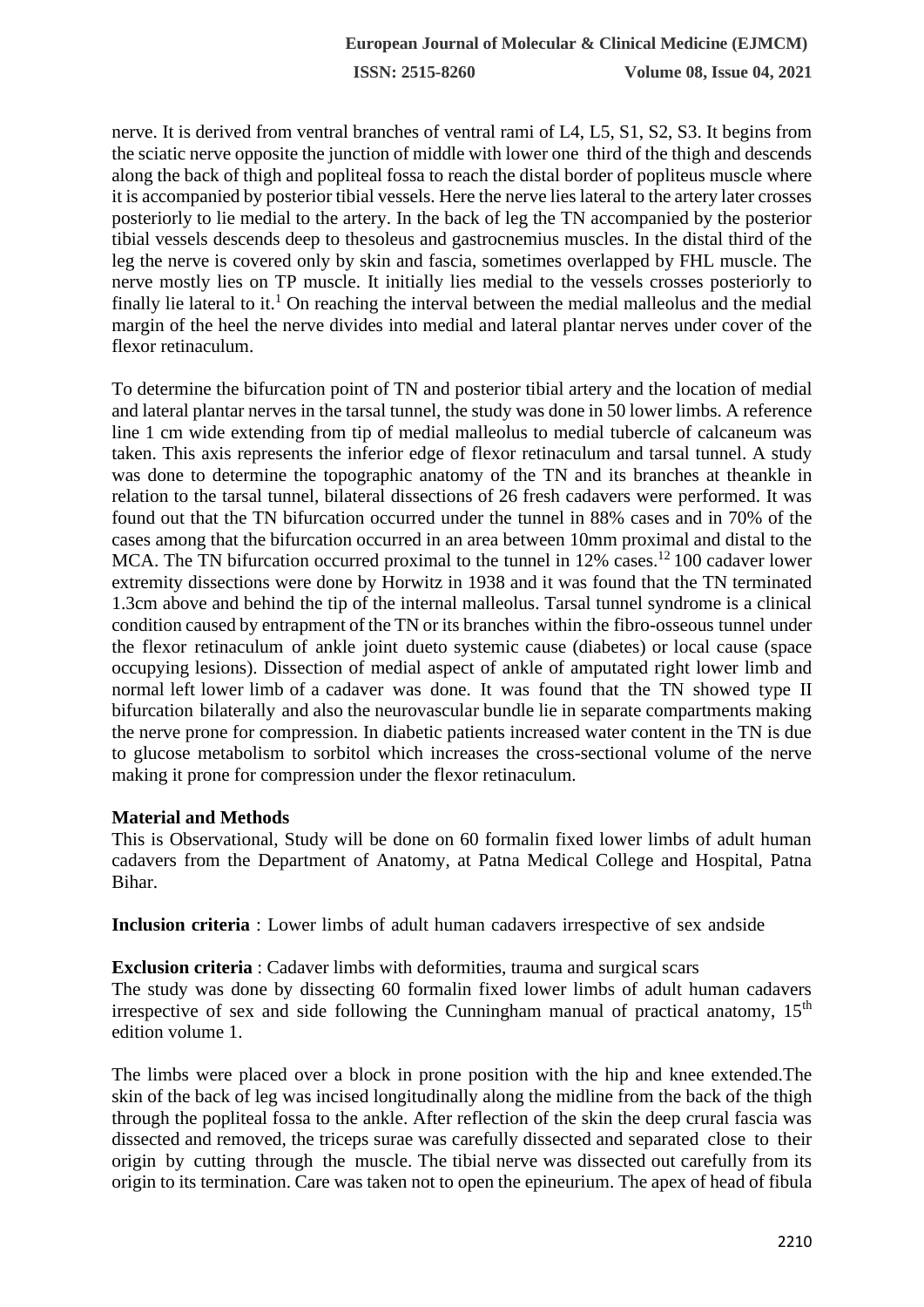nerve. It is derived from ventral branches of ventral rami of L4, L5, S1, S2, S3. It begins from the sciatic nerve opposite the junction of middle with lower one third of the thigh and descends along the back of thigh and popliteal fossa to reach the distal border of popliteus muscle where it is accompanied by posterior tibial vessels. Here the nerve lies lateral to the artery later crosses posteriorly to lie medial to the artery. In the back of leg the TN accompanied by the posterior tibial vessels descends deep to thesoleus and gastrocnemius muscles. In the distal third of the leg the nerve is covered only by skin and fascia, sometimes overlapped by FHL muscle. The nerve mostly lies on TP muscle. It initially lies medial to the vessels crosses posteriorly to finally lie lateral to it.<sup>1</sup> On reaching the interval between the medial malleolus and the medial margin of the heel the nerve divides into medial and lateral plantar nerves under cover of the flexor retinaculum.

To determine the bifurcation point of TN and posterior tibial artery and the location of medial and lateral plantar nerves in the tarsal tunnel, the study was done in 50 lower limbs. A reference line 1 cm wide extending from tip of medial malleolus to medial tubercle of calcaneum was taken. This axis represents the inferior edge of flexor retinaculum and tarsal tunnel. A study was done to determine the topographic anatomy of the TN and its branches at theankle in relation to the tarsal tunnel, bilateral dissections of 26 fresh cadavers were performed. It was found out that the TN bifurcation occurred under the tunnel in 88% cases and in 70% of the cases among that the bifurcation occurred in an area between 10mm proximal and distal to the MCA. The TN bifurcation occurred proximal to the tunnel in  $12\%$  cases.<sup>12</sup> 100 cadaver lower extremity dissections were done by Horwitz in 1938 and it was found that the TN terminated 1.3cm above and behind the tip of the internal malleolus. Tarsal tunnel syndrome is a clinical condition caused by entrapment of the TN or its branches within the fibro-osseous tunnel under the flexor retinaculum of ankle joint dueto systemic cause (diabetes) or local cause (space occupying lesions). Dissection of medial aspect of ankle of amputated right lower limb and normal left lower limb of a cadaver was done. It was found that the TN showed type II bifurcation bilaterally and also the neurovascular bundle lie in separate compartments making the nerve prone for compression. In diabetic patients increased water content in the TN is due to glucose metabolism to sorbitol which increases the cross-sectional volume of the nerve making it prone for compression under the flexor retinaculum.

# **Material and Methods**

This is Observational, Study will be done on 60 formalin fixed lower limbs of adult human cadavers from the Department of Anatomy, at Patna Medical College and Hospital, Patna Bihar.

**Inclusion criteria** : Lower limbs of adult human cadavers irrespective of sex andside

**Exclusion criteria** : Cadaver limbs with deformities, trauma and surgical scars The study was done by dissecting 60 formalin fixed lower limbs of adult human cadavers irrespective of sex and side following the Cunningham manual of practical anatomy,  $15<sup>th</sup>$ edition volume 1.

The limbs were placed over a block in prone position with the hip and knee extended.The skin of the back of leg was incised longitudinally along the midline from the back of the thigh through the popliteal fossa to the ankle. After reflection of the skin the deep crural fascia was dissected and removed, the triceps surae was carefully dissected and separated close to their origin by cutting through the muscle. The tibial nerve was dissected out carefully from its origin to its termination. Care was taken not to open the epineurium. The apex of head of fibula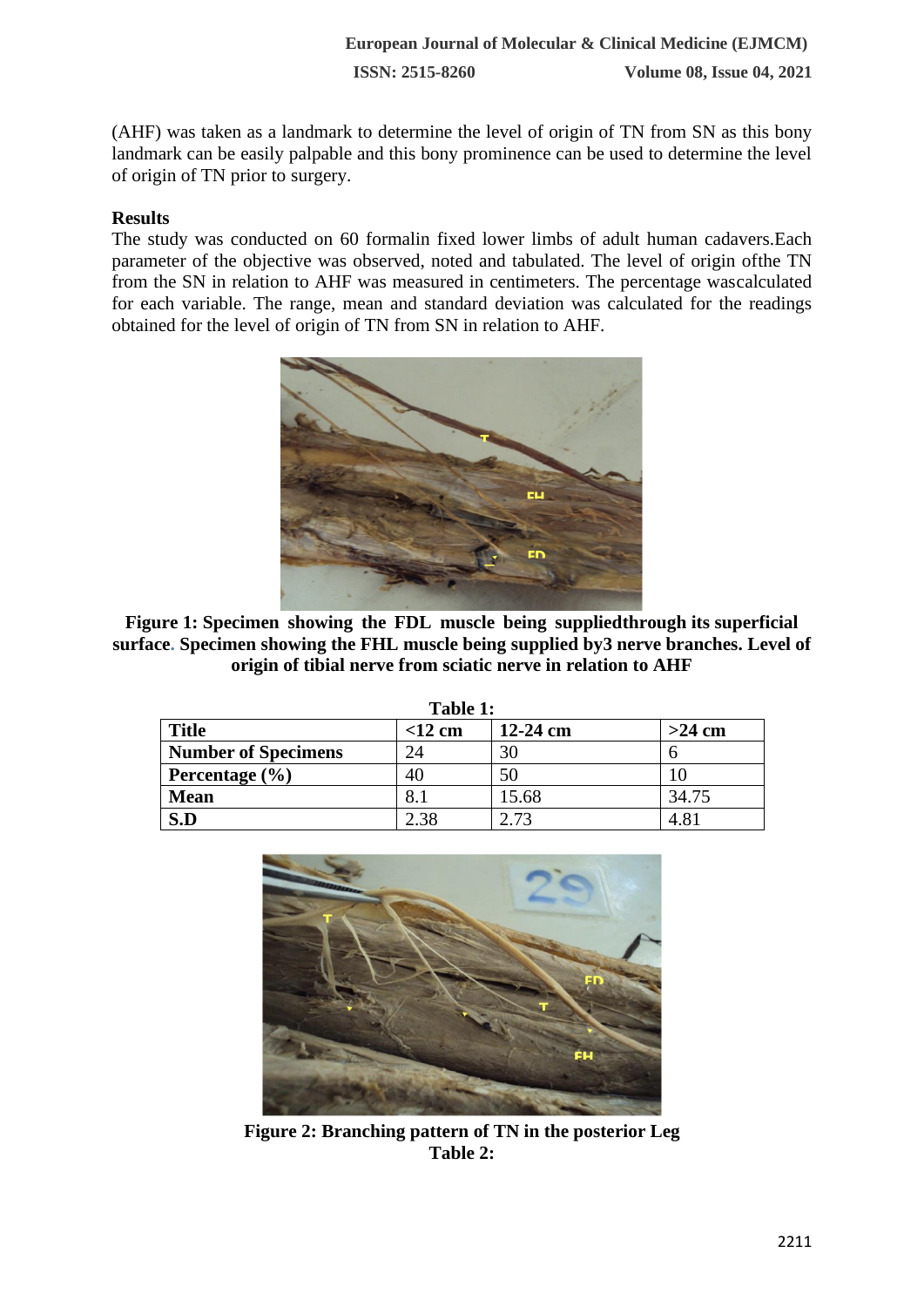(AHF) was taken as a landmark to determine the level of origin of TN from SN as this bony landmark can be easily palpable and this bony prominence can be used to determine the level of origin of TN prior to surgery.

# **Results**

The study was conducted on 60 formalin fixed lower limbs of adult human cadavers.Each parameter of the objective was observed, noted and tabulated. The level of origin ofthe TN from the SN in relation to AHF was measured in centimeters. The percentage wascalculated for each variable. The range, mean and standard deviation was calculated for the readings obtained for the level of origin of TN from SN in relation to AHF.



**Figure 1: Specimen showing the FDL muscle being suppliedthrough its superficial surface. Specimen showing the FHL muscle being supplied by3 nerve branches. Level of origin of tibial nerve from sciatic nerve in relation to AHF**

| <b>Title</b>               | таму т.<br>$<$ 12 cm | $12-24$ cm | $>24$ cm |
|----------------------------|----------------------|------------|----------|
| <b>Number of Specimens</b> |                      |            |          |
| Percentage $(\% )$         | 40                   |            |          |
| <b>Mean</b>                |                      | 15.68      | 34.75    |
| S.D                        |                      | 72         |          |

**Table 1:**



**Figure 2: Branching pattern of TN in the posterior Leg Table 2:**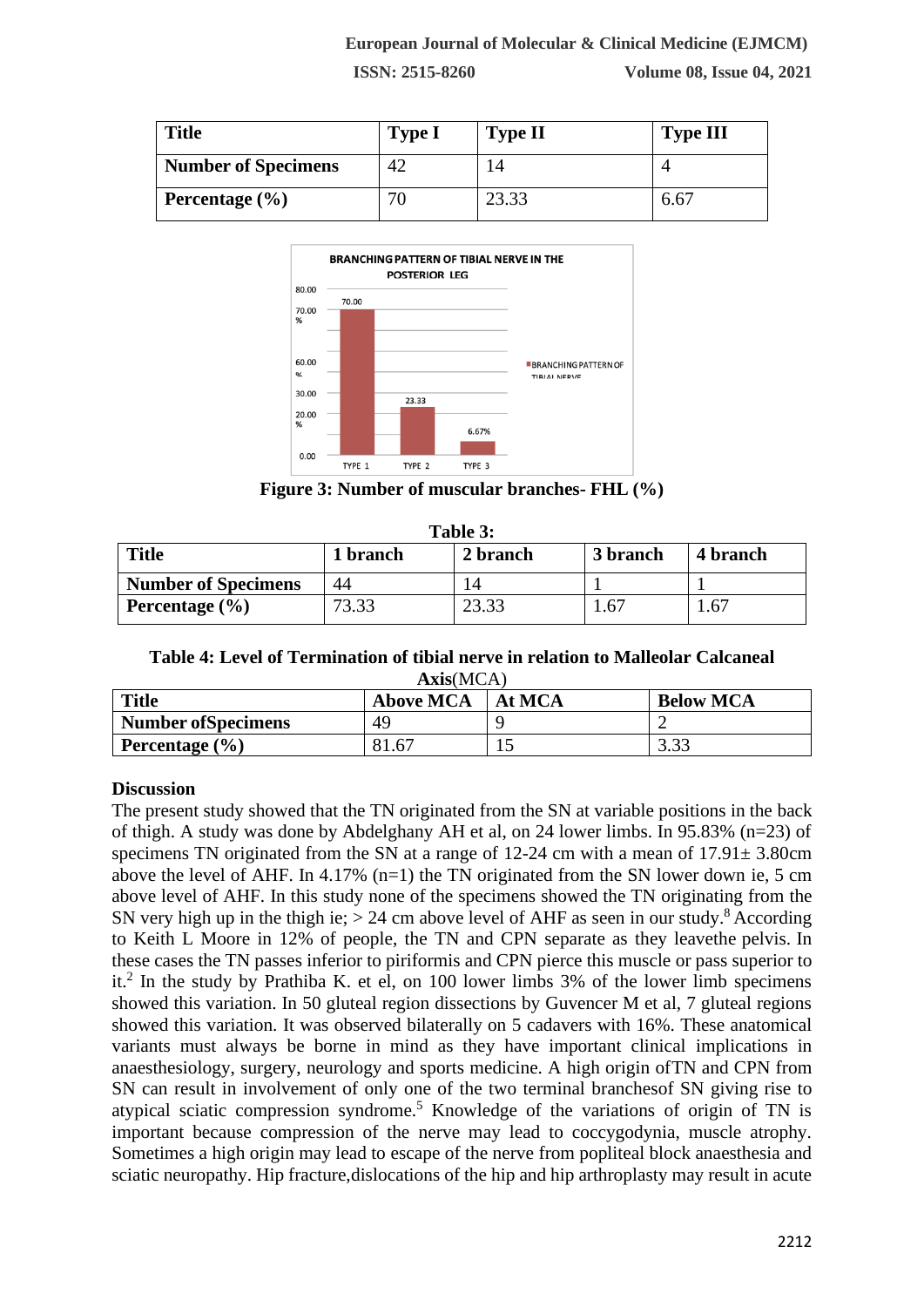| <b>Title</b>               | <b>Type I</b> | <b>Type II</b> | <b>Type III</b> |
|----------------------------|---------------|----------------|-----------------|
| <b>Number of Specimens</b> | 42            |                |                 |
| Percentage $(\% )$         |               | 23.33          | 6.67            |



**Figure 3: Number of muscular branches- FHL (%)**

| Table 3:                   |          |                |          |          |  |  |
|----------------------------|----------|----------------|----------|----------|--|--|
| Title                      | 1 branch | 2 branch       | 3 branch | 4 branch |  |  |
| <b>Number of Specimens</b> | 44       | $\overline{4}$ |          |          |  |  |
| Percentage $(\% )$         | 73.33    | 23.33          | 1.67     | 1.67     |  |  |

## **Table 4: Level of Termination of tibial nerve in relation to Malleolar Calcaneal Axis**(MCA)

| Title                      | <b>Above MCA</b>    | At MCA | <b>Below MCA</b> |
|----------------------------|---------------------|--------|------------------|
| <b>Number of Specimens</b> | 49                  |        |                  |
| Percentage $(\% )$         | $\Omega$ 1<br>81.67 | ⊥⊷     | 3.33             |

# **Discussion**

The present study showed that the TN originated from the SN at variable positions in the back of thigh. A study was done by Abdelghany AH et al, on 24 lower limbs. In 95.83% (n=23) of specimens TN originated from the SN at a range of  $12-24$  cm with a mean of  $17.91 \pm 3.80$ cm above the level of AHF. In 4.17%  $(n=1)$  the TN originated from the SN lower down ie, 5 cm above level of AHF. In this study none of the specimens showed the TN originating from the SN very high up in the thigh ie;  $> 24$  cm above level of AHF as seen in our study.<sup>8</sup> According to Keith L Moore in 12% of people, the TN and CPN separate as they leavethe pelvis. In these cases the TN passes inferior to piriformis and CPN pierce this muscle or pass superior to it.<sup>2</sup> In the study by Prathiba K. et el, on 100 lower limbs 3% of the lower limb specimens showed this variation. In 50 gluteal region dissections by Guvencer M et al, 7 gluteal regions showed this variation. It was observed bilaterally on 5 cadavers with 16%. These anatomical variants must always be borne in mind as they have important clinical implications in anaesthesiology, surgery, neurology and sports medicine. A high origin ofTN and CPN from SN can result in involvement of only one of the two terminal branchesof SN giving rise to atypical sciatic compression syndrome.<sup>5</sup> Knowledge of the variations of origin of TN is important because compression of the nerve may lead to coccygodynia, muscle atrophy. Sometimes a high origin may lead to escape of the nerve from popliteal block anaesthesia and sciatic neuropathy. Hip fracture,dislocations of the hip and hip arthroplasty may result in acute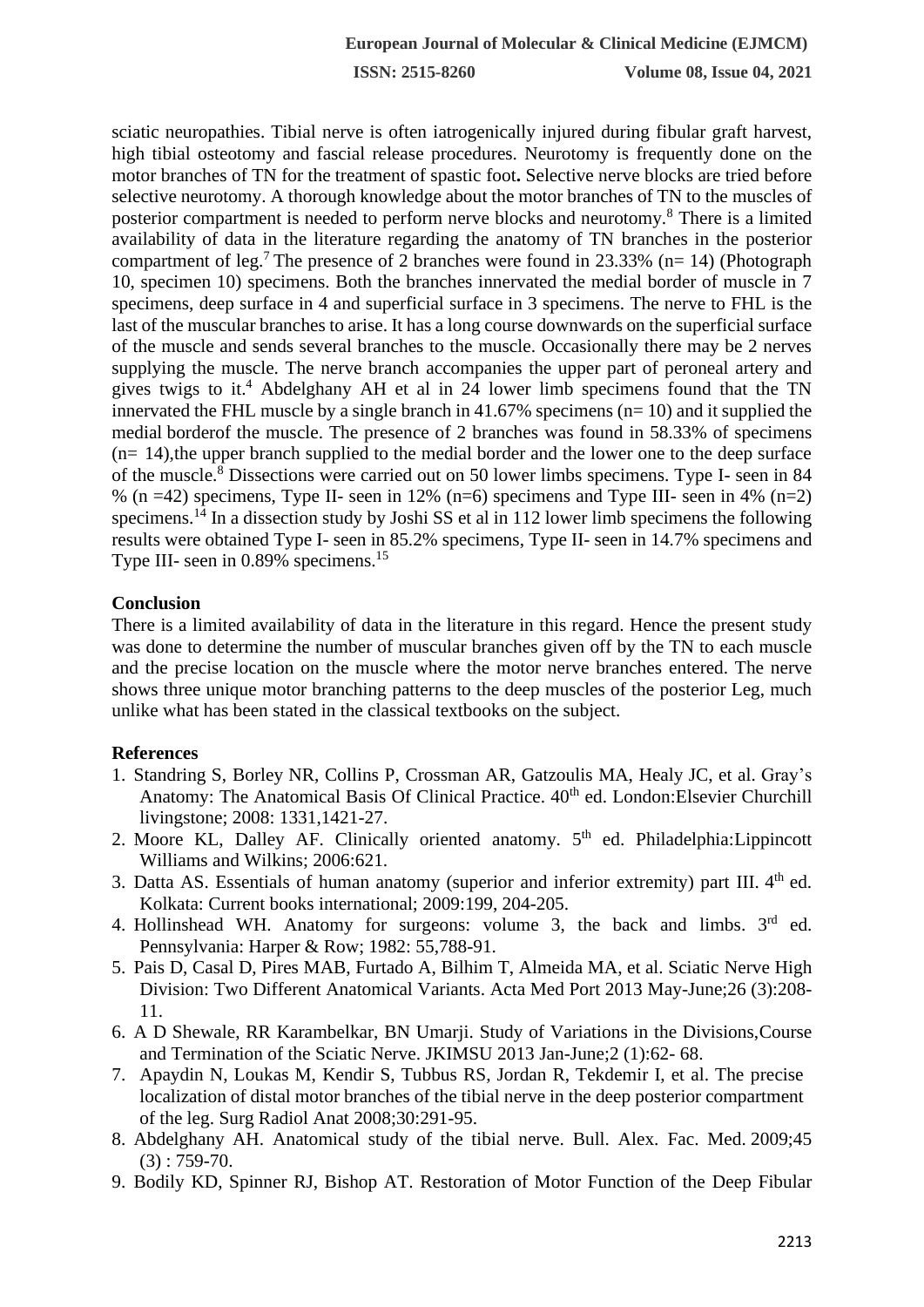sciatic neuropathies. Tibial nerve is often iatrogenically injured during fibular graft harvest, high tibial osteotomy and fascial release procedures. Neurotomy is frequently done on the motor branches of TN for the treatment of spastic foot**.** Selective nerve blocks are tried before selective neurotomy. A thorough knowledge about the motor branches of TN to the muscles of posterior compartment is needed to perform nerve blocks and neurotomy.<sup>8</sup> There is a limited availability of data in the literature regarding the anatomy of TN branches in the posterior compartment of leg.<sup>7</sup> The presence of 2 branches were found in 23.33% ( $n= 14$ ) (Photograph 10, specimen 10) specimens. Both the branches innervated the medial border of muscle in 7 specimens, deep surface in 4 and superficial surface in 3 specimens. The nerve to FHL is the last of the muscular branches to arise. It has a long course downwards on the superficial surface of the muscle and sends several branches to the muscle. Occasionally there may be 2 nerves supplying the muscle. The nerve branch accompanies the upper part of peroneal artery and gives twigs to it.<sup>4</sup> Abdelghany AH et al in 24 lower limb specimens found that the TN innervated the FHL muscle by a single branch in 41.67% specimens (n= 10) and it supplied the medial borderof the muscle. The presence of 2 branches was found in 58.33% of specimens  $(n= 14)$ , the upper branch supplied to the medial border and the lower one to the deep surface of the muscle.<sup>8</sup> Dissections were carried out on 50 lower limbs specimens. Type I- seen in 84 % (n =42) specimens, Type II- seen in 12% (n=6) specimens and Type III- seen in 4% (n=2) specimens.<sup>14</sup> In a dissection study by Joshi SS et al in 112 lower limb specimens the following results were obtained Type I- seen in 85.2% specimens, Type II- seen in 14.7% specimens and Type III- seen in 0.89% specimens.<sup>15</sup>

## **Conclusion**

There is a limited availability of data in the literature in this regard. Hence the present study was done to determine the number of muscular branches given off by the TN to each muscle and the precise location on the muscle where the motor nerve branches entered. The nerve shows three unique motor branching patterns to the deep muscles of the posterior Leg, much unlike what has been stated in the classical textbooks on the subject.

## **References**

- 1. Standring S, Borley NR, Collins P, Crossman AR, Gatzoulis MA, Healy JC, et al. Gray's Anatomy: The Anatomical Basis Of Clinical Practice.  $40<sup>th</sup>$  ed. London: Elsevier Churchill livingstone; 2008: 1331,1421-27.
- 2. Moore KL, Dalley AF. Clinically oriented anatomy. 5<sup>th</sup> ed. Philadelphia: Lippincott Williams and Wilkins; 2006:621.
- 3. Datta AS. Essentials of human anatomy (superior and inferior extremity) part III.  $4<sup>th</sup>$  ed. Kolkata: Current books international; 2009:199, 204-205.
- 4. Hollinshead WH. Anatomy for surgeons: volume 3, the back and limbs.  $3<sup>rd</sup>$  ed. Pennsylvania: Harper & Row; 1982: 55,788-91.
- 5. Pais D, Casal D, Pires MAB, Furtado A, Bilhim T, Almeida MA, et al. Sciatic Nerve High Division: Two Different Anatomical Variants. Acta Med Port 2013 May-June;26 (3):208- 11.
- 6. A D Shewale, RR Karambelkar, BN Umarji. Study of Variations in the Divisions,Course and Termination of the Sciatic Nerve. JKIMSU 2013 Jan-June;2 (1):62- 68.
- 7. Apaydin N, Loukas M, Kendir S, Tubbus RS, Jordan R, Tekdemir I, et al. The precise localization of distal motor branches of the tibial nerve in the deep posterior compartment of the leg. Surg Radiol Anat 2008;30:291-95.
- 8. Abdelghany AH. Anatomical study of the tibial nerve. Bull. Alex. Fac. Med. 2009;45  $(3)$ : 759-70.
- 9. Bodily KD, Spinner RJ, Bishop AT. Restoration of Motor Function of the Deep Fibular